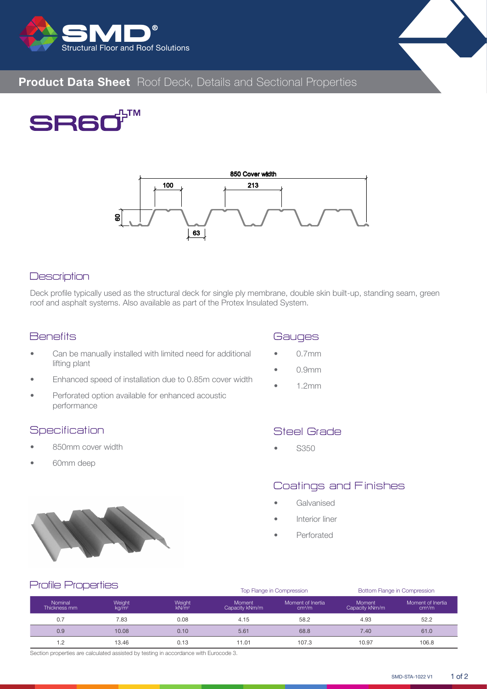



# **Product Data Sheet** Roof Deck, Details and Sectional Properties





#### **Description**

Deck profile typically used as the structural deck for single ply membrane, double skin built-up, standing seam, green roof and asphalt systems. Also available as part of the Protex Insulated System.

## **Benefits**

- Can be manually installed with limited need for additional lifting plant
- Enhanced speed of installation due to 0.85m cover width
- Perforated option available for enhanced acoustic performance

#### **Specification**

- 850mm cover width
- 60mm deep

# **Gauges**

- 0.7mm
- 0.9mm
- 1.2mm

## Steel Grade

• S350

# Coatings and Finishes

- **Galvanised**
- Interior liner
- Perforated



|                         |                             |                             |                                 | Top Flange in Compression               | Bottom Flange in Compression    |                                         |  |  |  |
|-------------------------|-----------------------------|-----------------------------|---------------------------------|-----------------------------------------|---------------------------------|-----------------------------------------|--|--|--|
| Nominal<br>Thickness mm | Weight<br>kg/m <sup>2</sup> | Weight<br>kN/m <sup>2</sup> | <b>Moment</b><br>Capacity kNm/m | Moment of Inertia<br>cm <sup>4</sup> /m | <b>Moment</b><br>Capacity kNm/m | Moment of Inertia<br>cm <sup>4</sup> /m |  |  |  |
| 0.7                     | 7.83                        | 0.08                        | 4.15                            | 58.2                                    | 4.93                            | 52.2                                    |  |  |  |
| 0.9                     | 10.08                       | 0.10                        | 5.61                            | 68.8                                    | 7.40                            | 61.0                                    |  |  |  |
| 1.2                     | 13.46                       | 0.13                        | 11.01                           | 107.3                                   | 10.97                           | 106.8                                   |  |  |  |

Section properties are calculated assisted by testing in accordance with Eurocode 3.